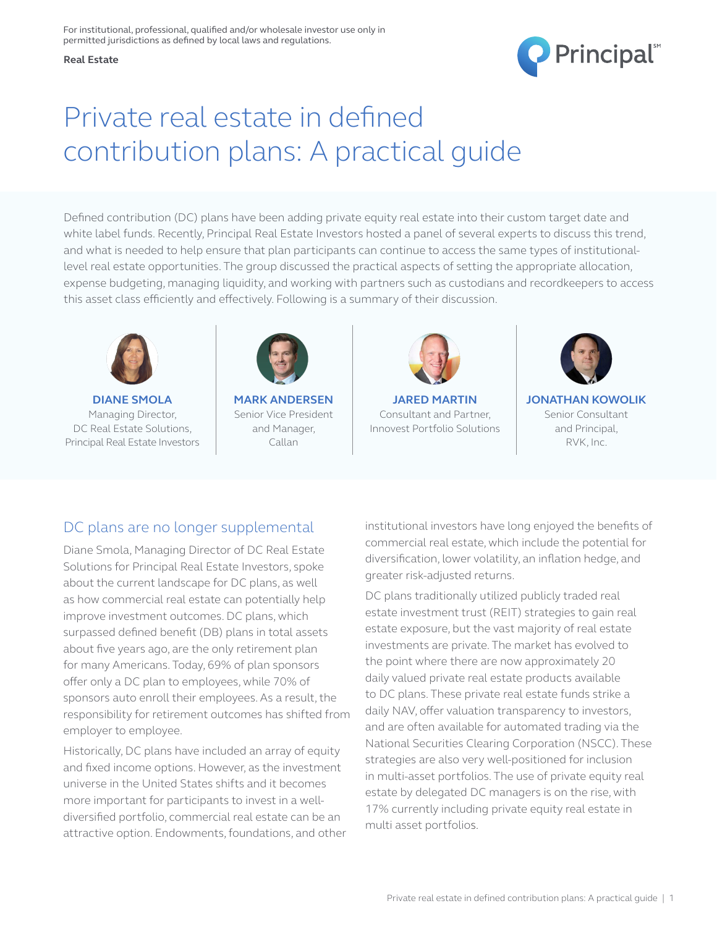



# Private real estate in defined contribution plans: A practical guide

Defined contribution (DC) plans have been adding private equity real estate into their custom target date and white label funds. Recently, Principal Real Estate Investors hosted a panel of several experts to discuss this trend, and what is needed to help ensure that plan participants can continue to access the same types of institutionallevel real estate opportunities. The group discussed the practical aspects of setting the appropriate allocation, expense budgeting, managing liquidity, and working with partners such as custodians and recordkeepers to access this asset class efficiently and effectively. Following is a summary of their discussion.



**DIANE SMOLA** Managing Director, DC Real Estate Solutions, Principal Real Estate Investors



**MARK ANDERSEN** Senior Vice President and Manager, Callan



**JARED MARTIN** Consultant and Partner, Innovest Portfolio Solutions



**JONATHAN KOWOLIK** Senior Consultant and Principal, RVK, Inc.

# DC plans are no longer supplemental

Diane Smola, Managing Director of DC Real Estate Solutions for Principal Real Estate Investors, spoke about the current landscape for DC plans, as well as how commercial real estate can potentially help improve investment outcomes. DC plans, which surpassed defined benefit (DB) plans in total assets about five years ago, are the only retirement plan for many Americans. Today, 69% of plan sponsors offer only a DC plan to employees, while 70% of sponsors auto enroll their employees. As a result, the responsibility for retirement outcomes has shifted from employer to employee.

Historically, DC plans have included an array of equity and fixed income options. However, as the investment universe in the United States shifts and it becomes more important for participants to invest in a welldiversified portfolio, commercial real estate can be an attractive option. Endowments, foundations, and other institutional investors have long enjoyed the benefits of commercial real estate, which include the potential for diversification, lower volatility, an inflation hedge, and greater risk-adjusted returns.

DC plans traditionally utilized publicly traded real estate investment trust (REIT) strategies to gain real estate exposure, but the vast majority of real estate investments are private. The market has evolved to the point where there are now approximately 20 daily valued private real estate products available to DC plans. These private real estate funds strike a daily NAV, offer valuation transparency to investors, and are often available for automated trading via the National Securities Clearing Corporation (NSCC). These strategies are also very well-positioned for inclusion in multi-asset portfolios. The use of private equity real estate by delegated DC managers is on the rise, with 17% currently including private equity real estate in multi asset portfolios.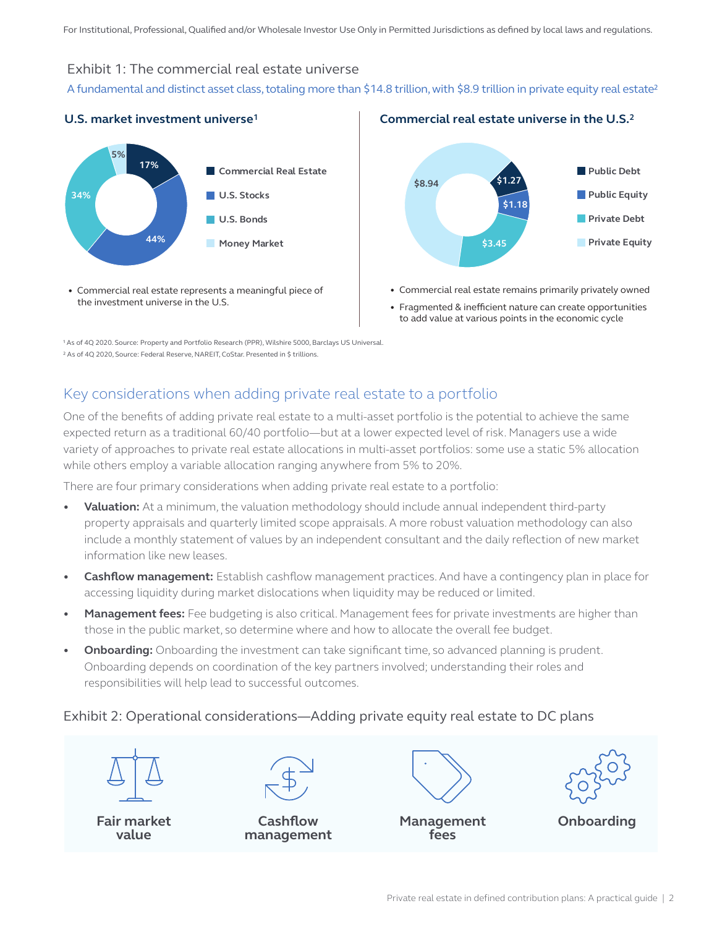#### Exhibit 1: The commercial real estate universe

A fundamental and distinct asset class, totaling more than \$14.8 trillion, with \$8.9 trillion in private equity real estate<sup>2</sup>



• Commercial real estate represents a meaningful piece of the investment universe in the U.S.



**Commercial real estate universe in the U.S. 2**

- Commercial real estate remains primarily privately owned
- Fragmented & inefficient nature can create opportunities to add value at various points in the economic cycle

1 As of 4Q 2020. Source: Property and Portfolio Research (PPR), Wilshire 5000, Barclays US Universal. 2 As of 4Q 2020, Source: Federal Reserve, NAREIT, CoStar. Presented in \$ trillions.

# Key considerations when adding private real estate to a portfolio

One of the benefits of adding private real estate to a multi-asset portfolio is the potential to achieve the same expected return as a traditional 60/40 portfolio—but at a lower expected level of risk. Managers use a wide variety of approaches to private real estate allocations in multi-asset portfolios: some use a static 5% allocation while others employ a variable allocation ranging anywhere from 5% to 20%.

There are four primary considerations when adding private real estate to a portfolio:

- **• Valuation:** At a minimum, the valuation methodology should include annual independent third-party property appraisals and quarterly limited scope appraisals. A more robust valuation methodology can also include a monthly statement of values by an independent consultant and the daily reflection of new market information like new leases.
- **• Cashflow management:** Establish cashflow management practices. And have a contingency plan in place for accessing liquidity during market dislocations when liquidity may be reduced or limited.
- **• Management fees:** Fee budgeting is also critical. Management fees for private investments are higher than those in the public market, so determine where and how to allocate the overall fee budget.
- **• Onboarding:** Onboarding the investment can take significant time, so advanced planning is prudent. Onboarding depends on coordination of the key partners involved; understanding their roles and responsibilities will help lead to successful outcomes.

#### Exhibit 2: Operational considerations—Adding private equity real estate to DC plans



**Fair market value**

**Cashflow management**

**Management fees**



**Onboarding**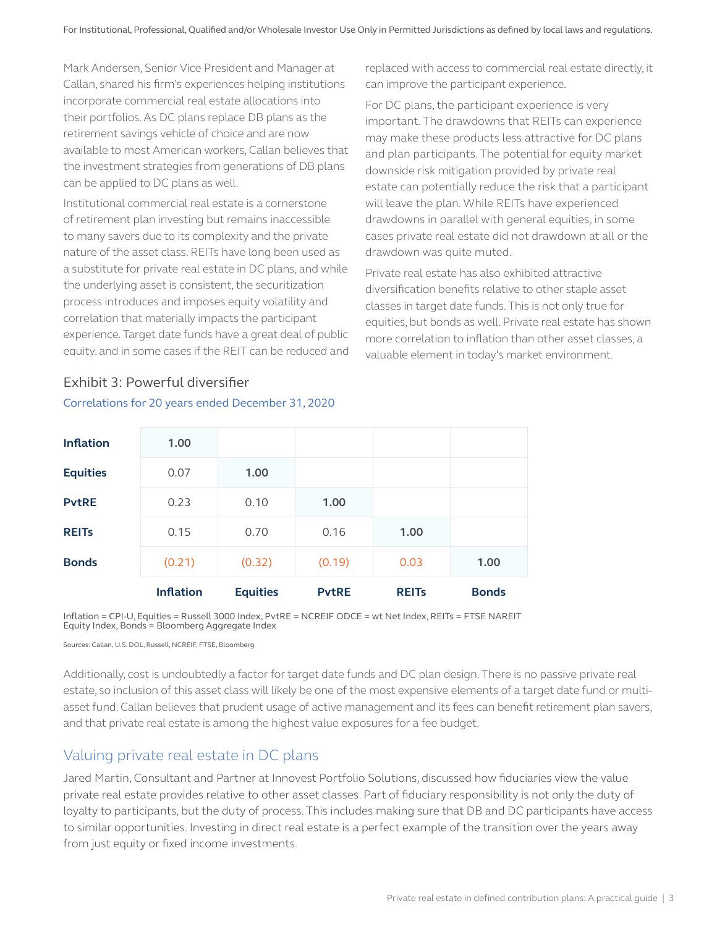Mark Andersen, Senior Vice President and Manager at Callan, shared his firm's experiences helping institutions incorporate commercial real estate allocations into their portfolios. As DC plans replace DB plans as the retirement savings vehicle of choice and are now available to most American workers, Callan believes that the investment strategies from generations of DB plans can be applied to DC plans as well.

Institutional commercial real estate is a cornerstone of retirement plan investing but remains inaccessible to many savers due to its complexity and the private nature of the asset class. REITs have long been used as a substitute for private real estate in DC plans, and while the underlying asset is consistent, the securitization process introduces and imposes equity volatility and correlation that materially impacts the participant experience. Target date funds have a great deal of public equity, and in some cases if the REIT can be reduced and replaced with access to commercial real estate directly, it can improve the participant experience.

For DC plans, the participant experience is very important. The drawdowns that REITs can experience may make these products less attractive for DC plans and plan participants. The potential for equity market downside risk mitigation provided by private real estate can potentially reduce the risk that a participant will leave the plan. While REITs have experienced drawdowns in parallel with general equities, in some cases private real estate did not drawdown at all or the drawdown was quite muted.

Private real estate has also exhibited attractive diversification benefits relative to other staple asset classes in target date funds. This is not only true for equities, but bonds as well. Private real estate has shown more correlation to inflation than other asset classes, a valuable element in today's market environment.

|                  | <b>Inflation</b> | <b>Equities</b> | <b>PytRE</b> | <b>REITS</b> | <b>Bonds</b> |
|------------------|------------------|-----------------|--------------|--------------|--------------|
| <b>Bonds</b>     | (0.21)           | (0.32)          | (0.19)       | 0.03         | 1.00         |
| <b>REITS</b>     | 0.15             | 0.70            | 0.16         | 1.00         |              |
| <b>PvtRE</b>     | 0.23             | 0.10            | 1.00         |              |              |
| <b>Equities</b>  | 0.07             | 1.00            |              |              |              |
| <b>Inflation</b> | 1.00             |                 |              |              |              |

#### Exhibit 3: Powerful diversifier Correlations for 20 years ended December 31, 2020

Inflation = CPI-U, Equities = Russell 3000 Index, PvtRE = NCREIF ODCE = wt Net Index, REITs = FTSE NAREIT Equity Index, Bonds = Bloomberg Aggregate Index

Sources: Callan, U.S. DOL, Russell, NCREIF, FTSE, Bloomberg

Additionally, cost is undoubtedly a factor for target date funds and DC plan design. There is no passive private real estate, so inclusion of this asset class will likely be one of the most expensive elements of a target date fund or multiasset fund. Callan believes that prudent usage of active management and its fees can benefit retirement plan savers, and that private real estate is among the highest value exposures for a fee budget.

## Valuing private real estate in DC plans

Jared Martin, Consultant and Partner at Innovest Portfolio Solutions, discussed how fiduciaries view the value private real estate provides relative to other asset classes. Part of fiduciary responsibility is not only the duty of loyalty to participants, but the duty of process. This includes making sure that DB and DC participants have access to similar opportunities. Investing in direct real estate is a perfect example of the transition over the years away from just equity or fixed income investments.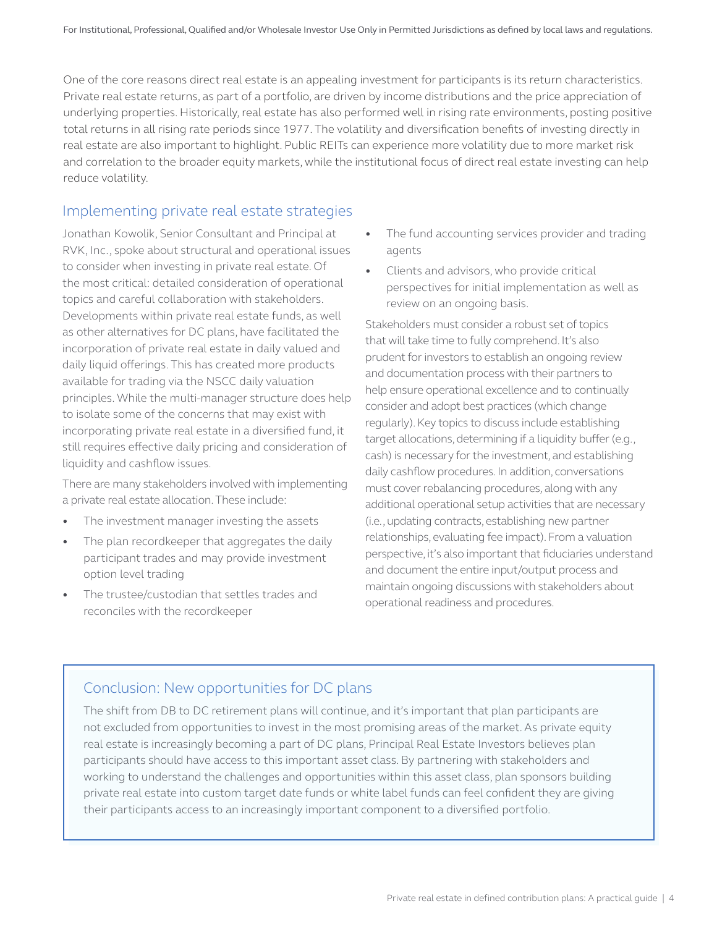One of the core reasons direct real estate is an appealing investment for participants is its return characteristics. Private real estate returns, as part of a portfolio, are driven by income distributions and the price appreciation of underlying properties. Historically, real estate has also performed well in rising rate environments, posting positive total returns in all rising rate periods since 1977. The volatility and diversification benefits of investing directly in real estate are also important to highlight. Public REITs can experience more volatility due to more market risk and correlation to the broader equity markets, while the institutional focus of direct real estate investing can help reduce volatility.

### Implementing private real estate strategies

Jonathan Kowolik, Senior Consultant and Principal at RVK, Inc., spoke about structural and operational issues to consider when investing in private real estate. Of the most critical: detailed consideration of operational topics and careful collaboration with stakeholders. Developments within private real estate funds, as well as other alternatives for DC plans, have facilitated the incorporation of private real estate in daily valued and daily liquid offerings. This has created more products available for trading via the NSCC daily valuation principles. While the multi-manager structure does help to isolate some of the concerns that may exist with incorporating private real estate in a diversified fund, it still requires effective daily pricing and consideration of liquidity and cashflow issues.

There are many stakeholders involved with implementing a private real estate allocation. These include:

- The investment manager investing the assets
- The plan recordkeeper that aggregates the daily participant trades and may provide investment option level trading
- The trustee/custodian that settles trades and reconciles with the recordkeeper
- The fund accounting services provider and trading agents
- Clients and advisors, who provide critical perspectives for initial implementation as well as review on an ongoing basis.

Stakeholders must consider a robust set of topics that will take time to fully comprehend. It's also prudent for investors to establish an ongoing review and documentation process with their partners to help ensure operational excellence and to continually consider and adopt best practices (which change regularly). Key topics to discuss include establishing target allocations, determining if a liquidity buffer (e.g., cash) is necessary for the investment, and establishing daily cashflow procedures. In addition, conversations must cover rebalancing procedures, along with any additional operational setup activities that are necessary (i.e., updating contracts, establishing new partner relationships, evaluating fee impact). From a valuation perspective, it's also important that fiduciaries understand and document the entire input/output process and maintain ongoing discussions with stakeholders about operational readiness and procedures.

## Conclusion: New opportunities for DC plans

The shift from DB to DC retirement plans will continue, and it's important that plan participants are not excluded from opportunities to invest in the most promising areas of the market. As private equity real estate is increasingly becoming a part of DC plans, Principal Real Estate Investors believes plan participants should have access to this important asset class. By partnering with stakeholders and working to understand the challenges and opportunities within this asset class, plan sponsors building private real estate into custom target date funds or white label funds can feel confident they are giving their participants access to an increasingly important component to a diversified portfolio.